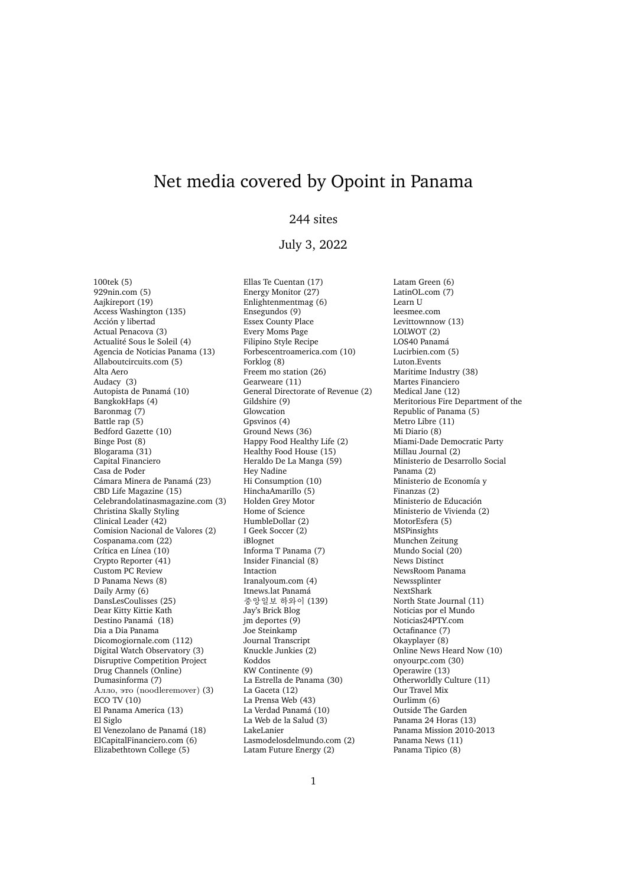## Net media covered by Opoint in Panama

## 244 sites

## July 3, 2022

100tek (5) 929nin.com (5) Aajkireport (19) Access Washington (135) Acción y libertad Actual Penacova (3) Actualité Sous le Soleil (4) Agencia de Noticias Panama (13) Allaboutcircuits.com (5) Alta Aero Audacy (3) Autopista de Panamá (10) BangkokHaps (4) Baronmag (7) Battle rap (5) Bedford Gazette (10) Binge Post (8) Blogarama (31) Capital Financiero Casa de Poder Cámara Minera de Panamá (23) CBD Life Magazine (15) Celebrandolatinasmagazine.com (3) Christina Skally Styling Clinical Leader (42) Comision Nacional de Valores (2) Cospanama.com (22) Crítica en Línea (10) Crypto Reporter (41) Custom PC Review D Panama News (8) Daily Army (6) DansLesCoulisses (25) Dear Kitty Kittie Kath Destino Panamá (18) Dia a Dia Panama Dicomogiornale.com (112) Digital Watch Observatory (3) Disruptive Competition Project Drug Channels (Online) Dumasinforma (7) Алло, это (noodleremover) (3) ECO TV (10) El Panama America (13) El Siglo El Venezolano de Panamá (18) ElCapitalFinanciero.com (6) Elizabethtown College (5)

Ellas Te Cuentan (17) Energy Monitor (27) Enlightenmentmag (6) Ensegundos (9) Essex County Place Every Moms Page Filipino Style Recipe Forbescentroamerica.com (10) Forklog (8) Freem mo station (26) Gearweare (11) General Directorate of Revenue (2) Gildshire (9) Glowcation Gpsvinos (4) Ground News (36) Happy Food Healthy Life (2) Healthy Food House (15) Heraldo De La Manga (59) Hey Nadine Hi Consumption (10) HinchaAmarillo (5) Holden Grey Motor Home of Science HumbleDollar (2) I Geek Soccer (2) iBlognet Informa T Panama (7) Insider Financial (8) Intaction Iranalyoum.com (4) Itnews.lat Panamá 중앙일보 하와이 (139) Jay's Brick Blog  $im$  deportes  $(9)$ Joe Steinkamp Journal Transcript Knuckle Junkies (2) Koddos KW Continente (9) La Estrella de Panama (30) La Gaceta (12) La Prensa Web (43) La Verdad Panamá (10) La Web de la Salud (3) LakeLanier Lasmodelosdelmundo.com (2) Latam Future Energy (2)

Latam Green (6) LatinOL.com (7) Learn U leesmee.com Levittownnow (13) LOLWOT (2) LOS40 Panamá Lucirbien.com (5) Luton.Events Maritime Industry (38) Martes Financiero Medical Jane (12) Meritorious Fire Department of the Republic of Panama (5) Metro Libre (11) Mi Diario (8) Miami-Dade Democratic Party Millau Journal (2) Ministerio de Desarrollo Social Panama (2) Ministerio de Economía y Finanzas (2) Ministerio de Educación Ministerio de Vivienda (2) MotorEsfera (5) MSPinsights Munchen Zeitung Mundo Social (20) News Distinct NewsRoom Panama Newssplinter NextShark North State Journal (11) Noticias por el Mundo Noticias24PTY.com Octafinance (7) Okayplayer (8) Online News Heard Now (10) onyourpc.com (30) Operawire (13) Otherworldly Culture (11) Our Travel Mix Ourlimm (6) Outside The Garden Panama 24 Horas (13) Panama Mission 2010-2013 Panama News (11) Panama Tipico (8)